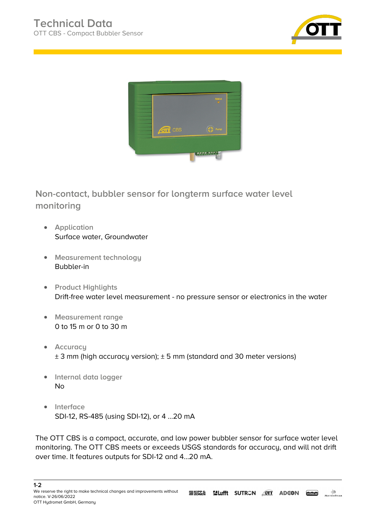



**Non-contact, bubbler sensor for longterm surface water level monitoring**

- **Application** Surface water, Groundwater
- **Measurement technology** Bubbler-in
- **•** Product Highlights Drift-free water level measurement - no pressure sensor or electronics in the water
- **Measurement range** 0 to 15 m or 0 to 30 m
- **•** Accuracu  $\pm$  3 mm (high accuracy version);  $\pm$  5 mm (standard and 30 meter versions)
- **Internal data logger** No
- **•** Interface SDI-12, RS-485 (using SDI-12), or 4 ...20 mA

The OTT CBS is a compact, accurate, and low power bubbler sensor for surface water level monitoring. The OTT CBS meets or exceeds USGS standards for accuracy, and will not drift over time. It features outputs for SDI-12 and 4...20 mA.